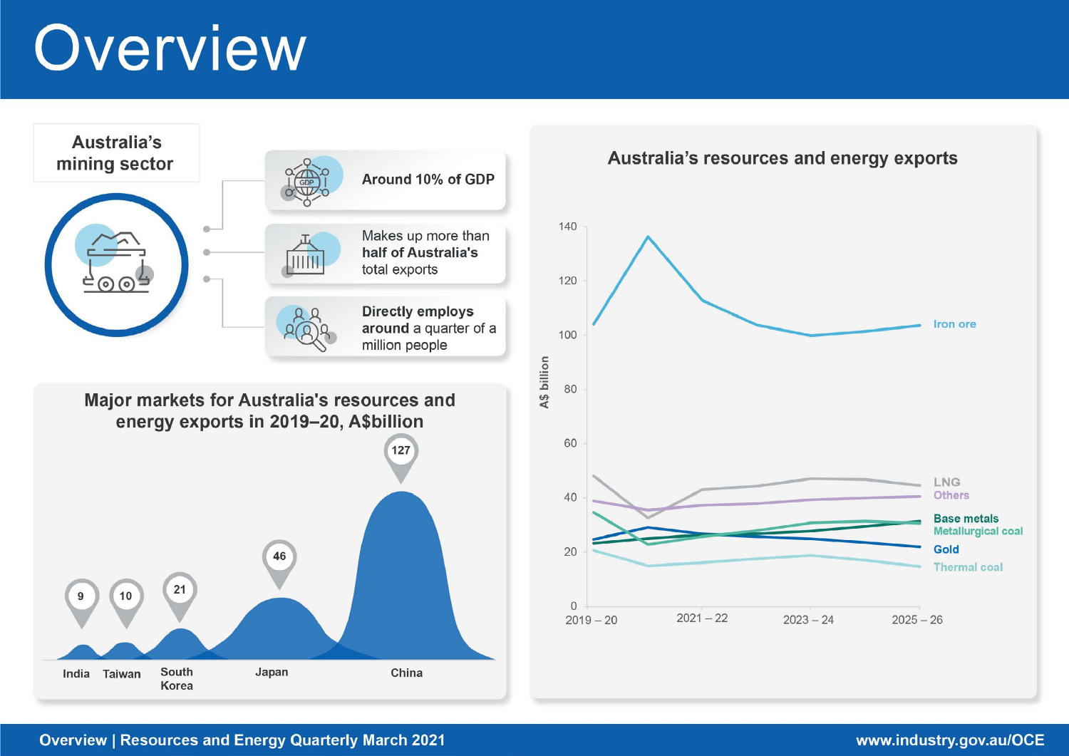# Overview



## **Overview | Resources and Energy Quarterly March 2021**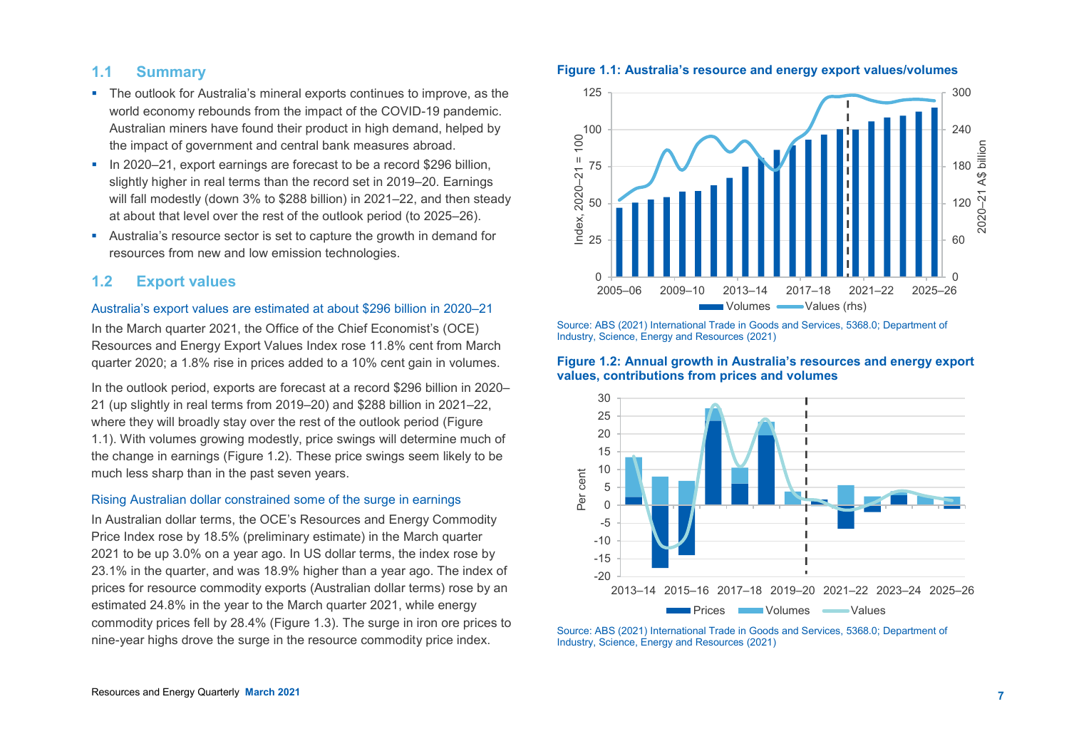## **1.1 Summary**

- The outlook for Australia's mineral exports continues to improve, as the world economy rebounds from the impact of the COVID-19 pandemic. Australian miners have found their product in high demand, helped by the impact of government and central bank measures abroad.
- In 2020–21, export earnings are forecast to be a record \$296 billion, slightly higher in real terms than the record set in 2019–20. Earnings will fall modestly (down 3% to \$288 billion) in 2021–22, and then steady at about that level over the rest of the outlook period (to 2025–26).
- Australia's resource sector is set to capture the growth in demand for resources from new and low emission technologies.

## **1.2 Export values**

#### Australia's export values are estimated at about \$296 billion in 2020–21

In the March quarter 2021, the Office of the Chief Economist's (OCE) Resources and Energy Export Values Index rose 11.8% cent from March quarter 2020; a 1.8% rise in prices added to a 10% cent gain in volumes.

In the outlook period, exports are forecast at a record \$296 billion in 2020– 21 (up slightly in real terms from 2019–20) and \$288 billion in 2021–22, where they will broadly stay over the rest of the outlook period (Figure 1.1). With volumes growing modestly, price swings will determine much of the change in earnings (Figure 1.2). These price swings seem likely to be much less sharp than in the past seven years.

#### Rising Australian dollar constrained some of the surge in earnings

In Australian dollar terms, the OCE's Resources and Energy Commodity Price Index rose by 18.5% (preliminary estimate) in the March quarter 2021 to be up 3.0% on a year ago. In US dollar terms, the index rose by 23.1% in the quarter, and was 18.9% higher than a year ago. The index of prices for resource commodity exports (Australian dollar terms) rose by an estimated 24.8% in the year to the March quarter 2021, while energy commodity prices fell by 28.4% (Figure 1.3). The surge in iron ore prices to nine-year highs drove the surge in the resource commodity price index.





Source: ABS (2021) International Trade in Goods and Services, 5368.0; Department of Industry, Science, Energy and Resources (2021)

#### **Figure 1.2: Annual growth in Australia's resources and energy export values, contributions from prices and volumes**



Source: ABS (2021) International Trade in Goods and Services, 5368.0; Department of Industry, Science, Energy and Resources (2021)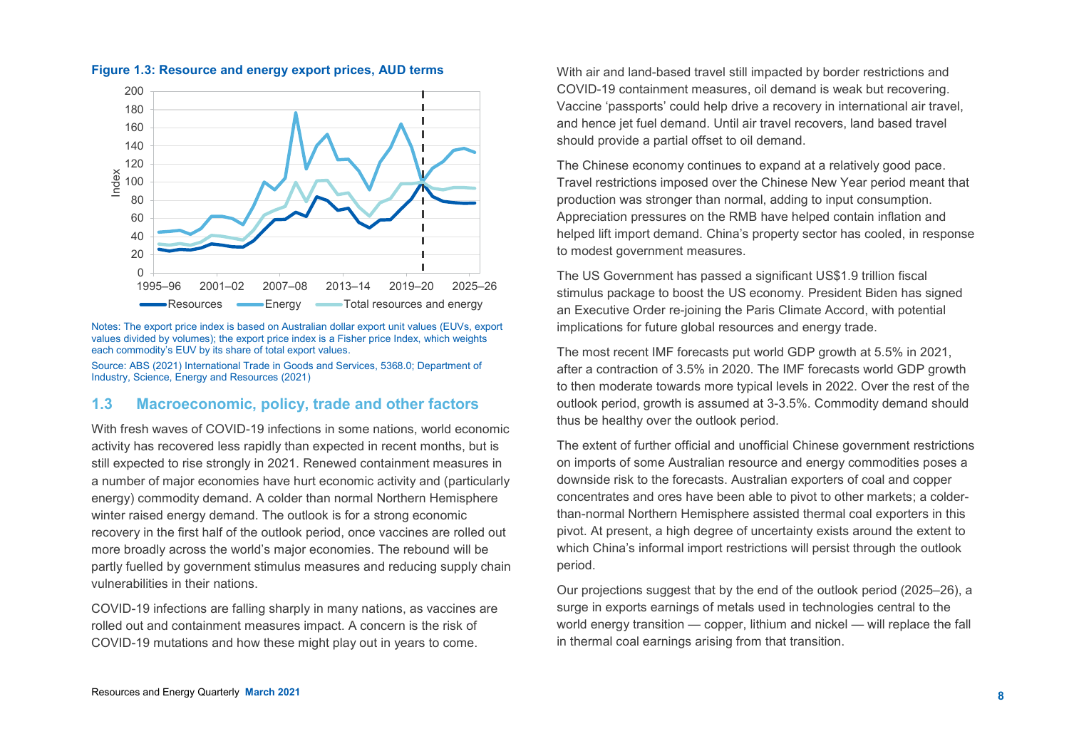

**Figure 1.3: Resource and energy export prices, AUD terms** 

Notes: The export price index is based on Australian dollar export unit values (EUVs, export values divided by volumes); the export price index is a Fisher price Index, which weights each commodity's EUV by its share of total export values.

Source: ABS (2021) International Trade in Goods and Services, 5368.0; Department of Industry, Science, Energy and Resources (2021)

#### **1.3 Macroeconomic, policy, trade and other factors**

With fresh waves of COVID-19 infections in some nations, world economic activity has recovered less rapidly than expected in recent months, but is still expected to rise strongly in 2021. Renewed containment measures in a number of major economies have hurt economic activity and (particularly energy) commodity demand. A colder than normal Northern Hemisphere winter raised energy demand. The outlook is for a strong economic recovery in the first half of the outlook period, once vaccines are rolled out more broadly across the world's major economies. The rebound will be partly fuelled by government stimulus measures and reducing supply chain vulnerabilities in their nations.

COVID-19 infections are falling sharply in many nations, as vaccines are rolled out and containment measures impact. A concern is the risk of COVID-19 mutations and how these might play out in years to come.

With air and land-based travel still impacted by border restrictions and COVID-19 containment measures, oil demand is weak but recovering. Vaccine 'passports' could help drive a recovery in international air travel, and hence jet fuel demand. Until air travel recovers, land based travel should provide a partial offset to oil demand.

The Chinese economy continues to expand at a relatively good pace. Travel restrictions imposed over the Chinese New Year period meant that production was stronger than normal, adding to input consumption. Appreciation pressures on the RMB have helped contain inflation and helped lift import demand. China's property sector has cooled, in response to modest government measures.

The US Government has passed a significant US\$1.9 trillion fiscal stimulus package to boost the US economy. President Biden has signed an Executive Order re-joining the Paris Climate Accord, with potential implications for future global resources and energy trade.

The most recent IMF forecasts put world GDP growth at 5.5% in 2021, after a contraction of 3.5% in 2020. The IMF forecasts world GDP growth to then moderate towards more typical levels in 2022. Over the rest of the outlook period, growth is assumed at 3-3.5%. Commodity demand should thus be healthy over the outlook period.

The extent of further official and unofficial Chinese government restrictions on imports of some Australian resource and energy commodities poses a downside risk to the forecasts. Australian exporters of coal and copper concentrates and ores have been able to pivot to other markets; a colderthan-normal Northern Hemisphere assisted thermal coal exporters in this pivot. At present, a high degree of uncertainty exists around the extent to which China's informal import restrictions will persist through the outlook period.

Our projections suggest that by the end of the outlook period (2025–26), a surge in exports earnings of metals used in technologies central to the world energy transition — copper, lithium and nickel — will replace the fall in thermal coal earnings arising from that transition.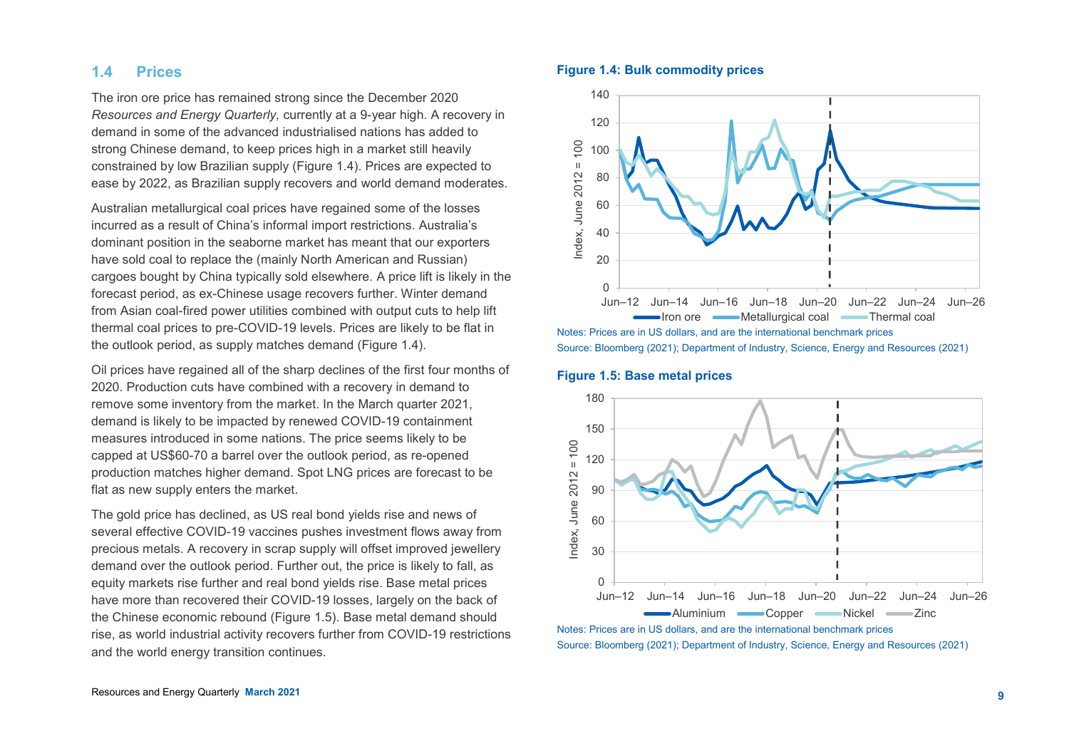## **1.4 Prices**

The iron ore price has remained strong since the December 2020 *Resources and Energy Quarterly,* currently at a 9-year high. A recovery in demand in some of the advanced industrialised nations has added to strong Chinese demand, to keep prices high in a market still heavily constrained by low Brazilian supply (Figure 1.4). Prices are expected to ease by 2022, as Brazilian supply recovers and world demand moderates.

Australian metallurgical coal prices have regained some of the losses incurred as a result of China's informal import restrictions. Australia's dominant position in the seaborne market has meant that our exporters have sold coal to replace the (mainly North American and Russian) cargoes bought by China typically sold elsewhere. A price lift is likely in the forecast period, as ex-Chinese usage recovers further. Winter demand from Asian coal-fired power utilities combined with output cuts to help lift thermal coal prices to pre-COVID-19 levels. Prices are likely to be flat in the outlook period, as supply matches demand (Figure 1.4).

Oil prices have regained all of the sharp declines of the first four months of 2020. Production cuts have combined with a recovery in demand to remove some inventory from the market. In the March quarter 2021, demand is likely to be impacted by renewed COVID-19 containment measures introduced in some nations. The price seems likely to be capped at US\$60-70 a barrel over the outlook period, as re-opened production matches higher demand. Spot LNG prices are forecast to be flat as new supply enters the market.

The gold price has declined, as US real bond yields rise and news of several effective COVID-19 vaccines pushes investment flows away from precious metals. A recovery in scrap supply will offset improved jewellery demand over the outlook period. Further out, the price is likely to fall, as equity markets rise further and real bond yields rise. Base metal prices have more than recovered their COVID-19 losses, largely on the back of the Chinese economic rebound (Figure 1.5). Base metal demand should rise, as world industrial activity recovers further from COVID-19 restrictions and the world energy transition continues.

#### **Figure 1.4: Bulk commodity prices**





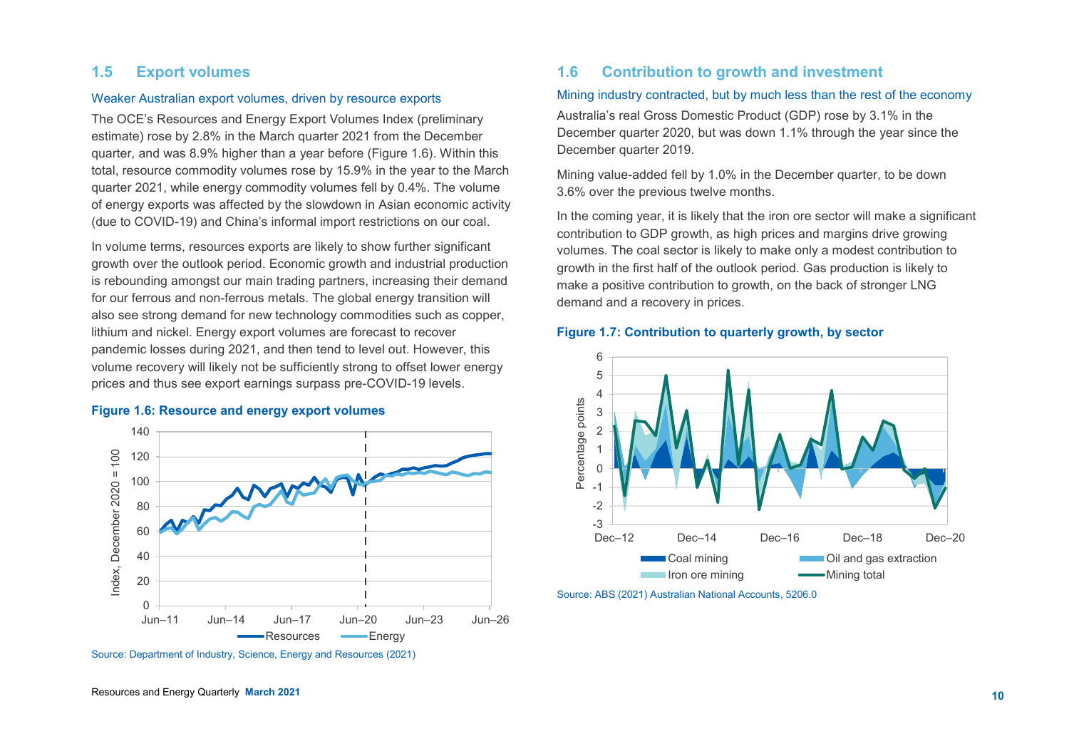## **1.5 Export volumes**

#### Weaker Australian export volumes, driven by resource exports

The OCE's Resources and Energy Export Volumes Index (preliminary estimate) rose by 2.8% in the March quarter 2021 from the December quarter, and was 8.9% higher than a year before (Figure 1.6). Within this total, resource commodity volumes rose by 15.9% in the year to the March quarter 2021, while energy commodity volumes fell by 0.4%. The volume of energy exports was affected by the slowdown in Asian economic activity (due to COVID-19) and China's informal import restrictions on our coal.

In volume terms, resources exports are likely to show further significant growth over the outlook period. Economic growth and industrial production is rebounding amongst our main trading partners, increasing their demand for our ferrous and non-ferrous metals. The global energy transition will also see strong demand for new technology commodities such as copper, lithium and nickel. Energy export volumes are forecast to recover pandemic losses during 2021, and then tend to level out. However, this volume recovery will likely not be sufficiently strong to offset lower energy prices and thus see export earnings surpass pre-COVID-19 levels.

#### **Figure 1.6: Resource and energy export volumes**



Source: Department of Industry, Science, Energy and Resources (2021)

## **1.6 Contribution to growth and investment**

#### Mining industry contracted, but by much less than the rest of the economy

Australia's real Gross Domestic Product (GDP) rose by 3.1% in the December quarter 2020, but was down 1.1% through the year since the December quarter 2019.

Mining value-added fell by 1.0% in the December quarter, to be down 3.6% over the previous twelve months.

In the coming year, it is likely that the iron ore sector will make a significant contribution to GDP growth, as high prices and margins drive growing volumes. The coal sector is likely to make only a modest contribution to growth in the first half of the outlook period. Gas production is likely to make a positive contribution to growth, on the back of stronger LNG demand and a recovery in prices.

#### **Figure 1.7: Contribution to quarterly growth, by sector**



Source: ABS (2021) Australian National Accounts, 5206.0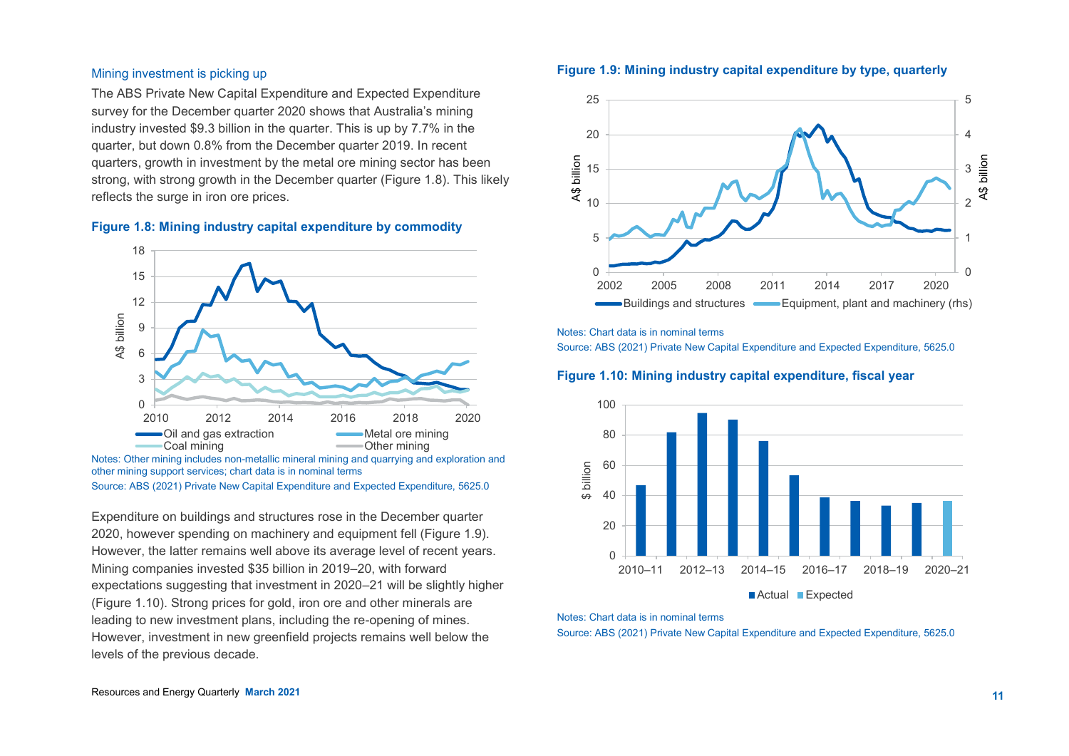#### Mining investment is picking up

The ABS Private New Capital Expenditure and Expected Expenditure survey for the December quarter 2020 shows that Australia's mining industry invested \$9.3 billion in the quarter. This is up by 7.7% in the quarter, but down 0.8% from the December quarter 2019. In recent quarters, growth in investment by the metal ore mining sector has been strong, with strong growth in the December quarter (Figure 1.8). This likely reflects the surge in iron ore prices.





other mining support services; chart data is in nominal terms Source: ABS (2021) Private New Capital Expenditure and Expected Expenditure, 5625.0

Expenditure on buildings and structures rose in the December quarter 2020, however spending on machinery and equipment fell (Figure 1.9). However, the latter remains well above its average level of recent years. Mining companies invested \$35 billion in 2019–20, with forward expectations suggesting that investment in 2020–21 will be slightly higher (Figure 1.10). Strong prices for gold, iron ore and other minerals are leading to new investment plans, including the re-opening of mines. However, investment in new greenfield projects remains well below the levels of the previous decade.





Notes: Chart data is in nominal terms

Source: ABS (2021) Private New Capital Expenditure and Expected Expenditure, 5625.0

#### **Figure 1.10: Mining industry capital expenditure, fiscal year**



#### Notes: Chart data is in nominal terms

Source: ABS (2021) Private New Capital Expenditure and Expected Expenditure, 5625.0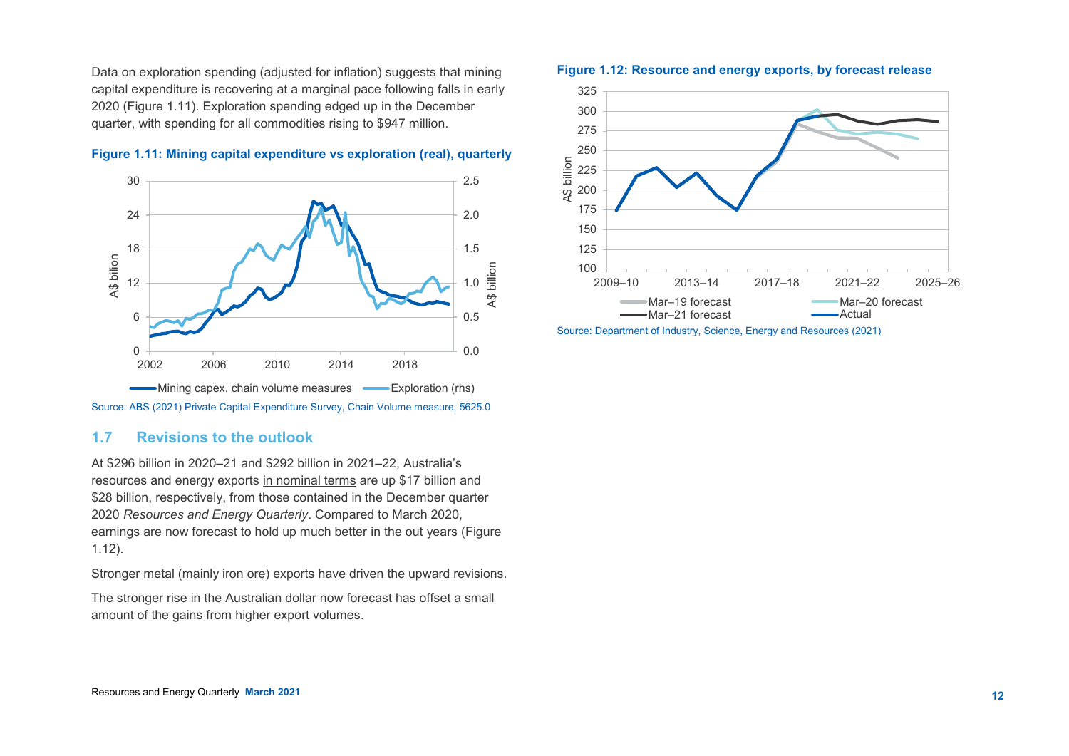Data on exploration spending (adjusted for inflation) suggests that mining capital expenditure is recovering at a marginal pace following falls in early 2020 (Figure 1.11). Exploration spending edged up in the December quarter, with spending for all commodities rising to \$947 million.



### **Figure 1.11: Mining capital expenditure vs exploration (real), quarterly**

#### **1.7 Revisions to the outlook**

At \$296 billion in 2020–21 and \$292 billion in 2021–22, Australia's resources and energy exports in nominal terms are up \$17 billion and \$28 billion, respectively, from those contained in the December quarter 2020 *Resources and Energy Quarterly*. Compared to March 2020, earnings are now forecast to hold up much better in the out years (Figure 1.12).

Stronger metal (mainly iron ore) exports have driven the upward revisions.

The stronger rise in the Australian dollar now forecast has offset a small amount of the gains from higher export volumes.

#### **Figure 1.12: Resource and energy exports, by forecast release**



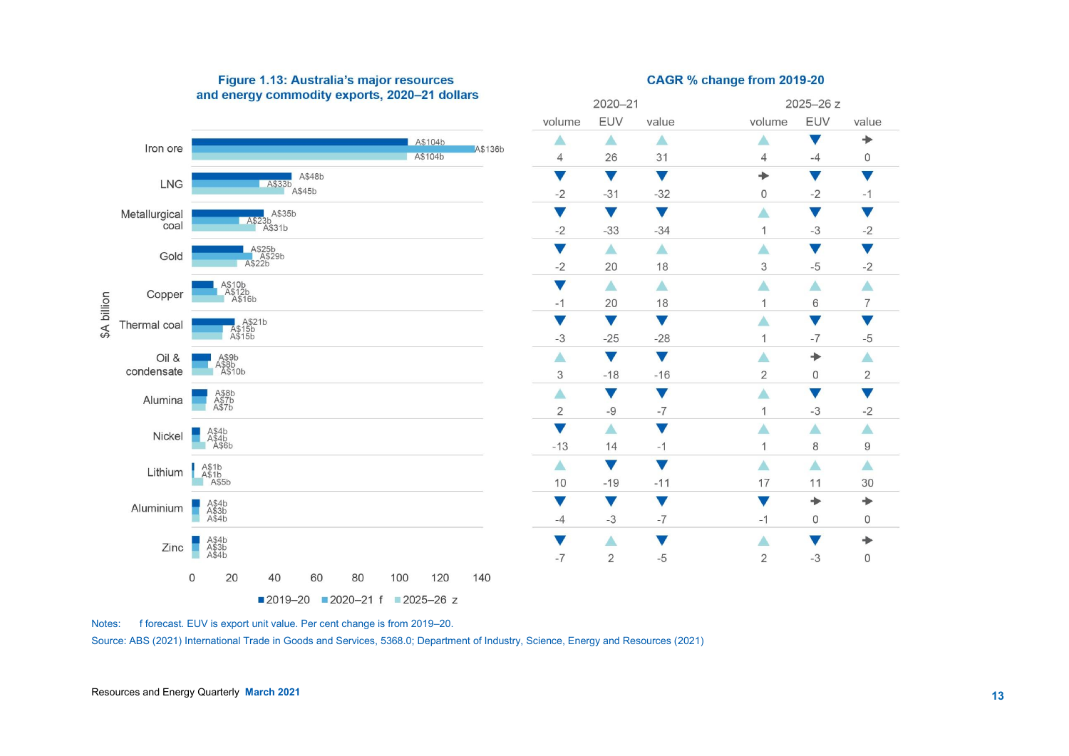

## Figure 1.13: Australia's major resources and energy commodity exports, 2020-21 dollars

## CAGR % change from 2019-20

Source: ABS (2021) International Trade in Goods and Services, 5368.0; Department of Industry, Science, Energy and Resources (2021)

Notes: f forecast. EUV is export unit value. Per cent change is from 2019–20.